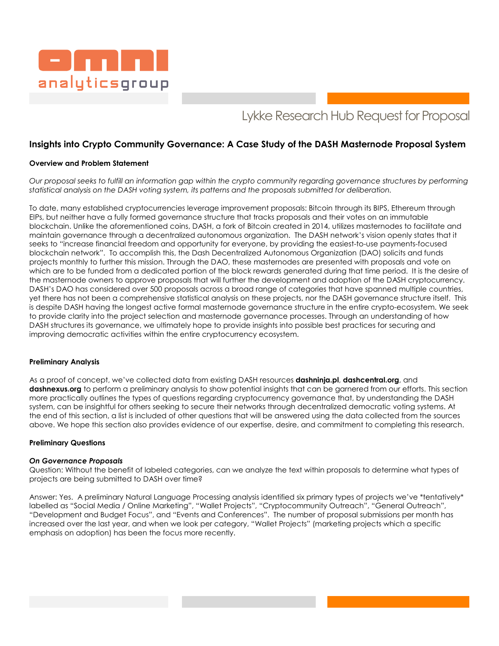

# Lykke Research Hub Request for Proposal

# **Insights into Crypto Community Governance: A Case Study of the DASH Masternode Proposal System**

### **Overview and Problem Statement**

*Our proposal seeks to fulfill an information gap within the crypto community regarding governance structures by performing statistical analysis on the DASH voting system, its patterns and the proposals submitted for deliberation.* 

To date, many established cryptocurrencies leverage improvement proposals: Bitcoin through its BIPS, Ethereum through EIPs, but neither have a fully formed governance structure that tracks proposals and their votes on an immutable blockchain. Unlike the aforementioned coins, DASH, a fork of Bitcoin created in 2014, utilizes masternodes to facilitate and maintain governance through a decentralized autonomous organization. The DASH network's vision openly states that it seeks to "increase financial freedom and opportunity for everyone, by providing the easiest-to-use payments-focused blockchain network". To accomplish this, the Dash Decentralized Autonomous Organization (DAO) solicits and funds projects monthly to further this mission. Through the DAO, these masternodes are presented with proposals and vote on which are to be funded from a dedicated portion of the block rewards generated during that time period. It is the desire of the masternode owners to approve proposals that will further the development and adoption of the DASH cryptocurrency. DASH's DAO has considered over 500 proposals across a broad range of categories that have spanned multiple countries, yet there has not been a comprehensive statistical analysis on these projects, nor the DASH governance structure itself. This is despite DASH having the longest active formal masternode governance structure in the entire crypto-ecosystem. We seek to provide clarity into the project selection and masternode governance processes. Through an understanding of how DASH structures its governance, we ultimately hope to provide insights into possible best practices for securing and improving democratic activities within the entire cryptocurrency ecosystem.

#### **Preliminary Analysis**

As a proof of concept, we've collected data from existing DASH resources **dashninja.pl**, **dashcentral.org**, and **dashnexus.org** to perform a preliminary analysis to show potential insights that can be garnered from our efforts. This section more practically outlines the types of questions regarding cryptocurrency governance that, by understanding the DASH system, can be insightful for others seeking to secure their networks through decentralized democratic voting systems. At the end of this section, a list is included of other questions that will be answered using the data collected from the sources above. We hope this section also provides evidence of our expertise, desire, and commitment to completing this research.

#### **Preliminary Questions**

#### *On Governance Proposals*

Question: Without the benefit of labeled categories, can we analyze the text within proposals to determine what types of projects are being submitted to DASH over time?

Answer: Yes. A preliminary Natural Language Processing analysis identified six primary types of projects we've \*tentatively\* labelled as "Social Media / Online Marketing", "Wallet Projects", "Cryptocommunity Outreach", "General Outreach", "Development and Budget Focus", and "Events and Conferences". The number of proposal submissions per month has increased over the last year, and when we look per category, "Wallet Projects" (marketing projects which a specific emphasis on adoption) has been the focus more recently.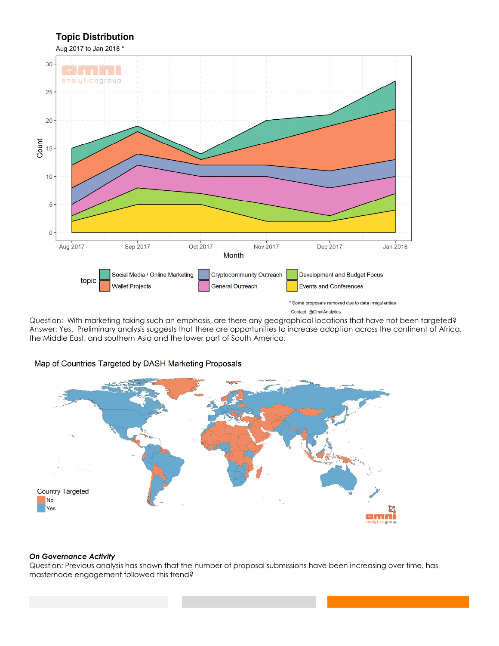

Question: With marketing taking such an emphasis, are there any geographical locations that have not been targeted? Answer: Yes. Preliminary analysis suggests that there are opportunities to increase adoption across the continent of Africa, the Middle East, and southern Asia and the lower part of South America.

# Map of Countries Targeted by DASH Marketing Proposals



#### *On Governance Activity*

Question: Previous analysis has shown that the number of proposal submissions have been increasing over time, has masternode engagement followed this trend?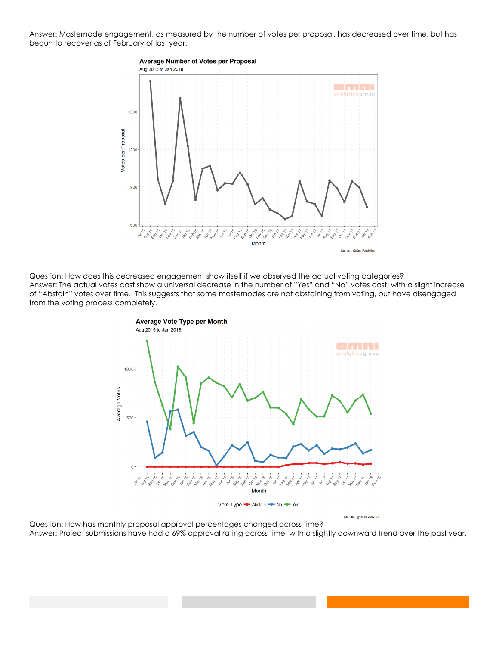Answer: Masternode engagement, as measured by the number of votes per proposal, has decreased over time, but has begun to recover as of February of last year.



Question: How does this decreased engagement show itself if we observed the actual voting categories? Answer: The actual votes cast show a universal decrease in the number of "Yes" and "No" votes cast, with a slight increase of "Abstain" votes over time. This suggests that some masternodes are not abstaining from voting, but have disengaged from the voting process completely.



Question: How has monthly proposal approval percentages changed across time? Answer: Project submissions have had a 69% approval rating across time, with a slightly downward trend over the past year.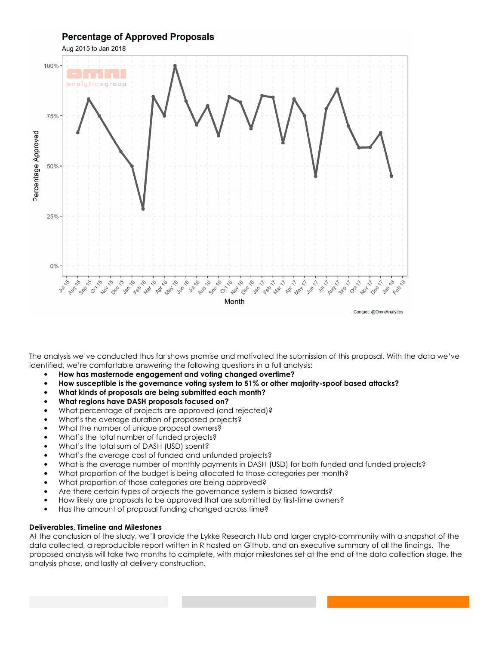

The analysis we've conducted thus far shows promise and motivated the submission of this proposal. With the data we've identified, we're comfortable answering the following questions in a full analysis:

- **How has masternode engagement and voting changed overtime?**
- **How susceptible is the governance voting system to 51% or other majority-spoof based attacks?**
- **What kinds of proposals are being submitted each month?**
- **What regions have DASH proposals focused on?**
- What percentage of projects are approved (and rejected)?
- What's the average duration of proposed projects?
- What the number of unique proposal owners?
- What's the total number of funded projects?
- What's the total sum of DASH (USD) spent?
- What's the average cost of funded and unfunded projects?
- What is the average number of monthly payments in DASH (USD) for both funded and funded projects?
- What proportion of the budget is being allocated to those categories per month?
- What proportion of those categories are being approved?
- Are there certain types of projects the governance system is biased towards?
- How likely are proposals to be approved that are submitted by first-time owners?
- Has the amount of proposal funding changed across time?

# **Deliverables, Timeline and Milestones**

At the conclusion of the study, we'll provide the Lykke Research Hub and larger crypto-community with a snapshot of the data collected, a reproducible report written in R hosted on Github, and an executive summary of all the findings. The proposed analysis will take two months to complete, with major milestones set at the end of the data collection stage, the analysis phase, and lastly at delivery construction.